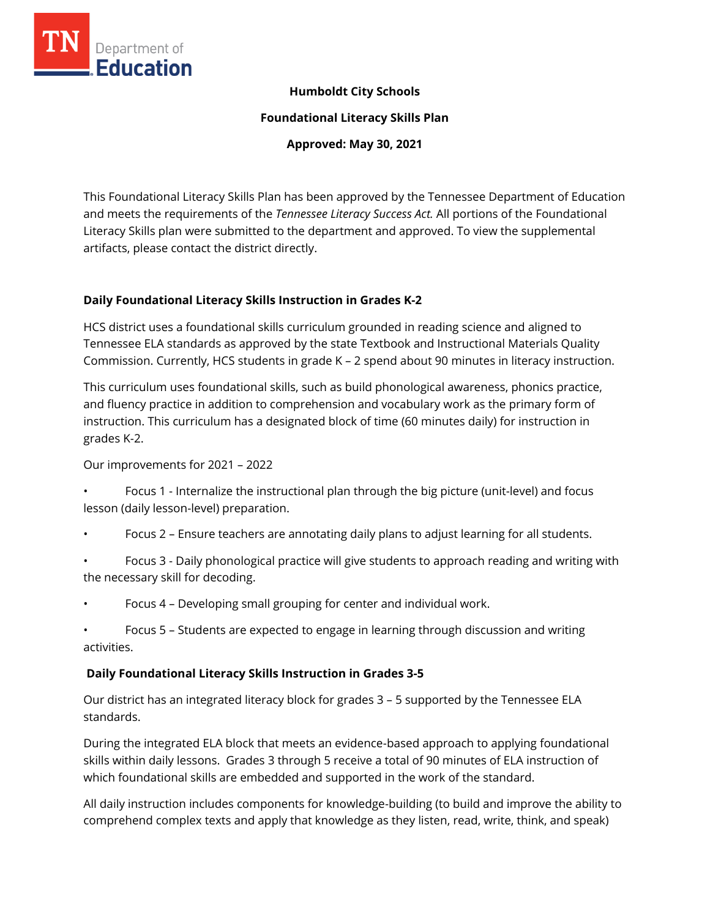

### **Humboldt City Schools**

**Foundational Literacy Skills Plan**

**Approved: May 30, 2021**

This Foundational Literacy Skills Plan has been approved by the Tennessee Department of Education and meets the requirements of the *Tennessee Literacy Success Act.* All portions of the Foundational Literacy Skills plan were submitted to the department and approved. To view the supplemental artifacts, please contact the district directly.

### **Daily Foundational Literacy Skills Instruction in Grades K-2**

HCS district uses a foundational skills curriculum grounded in reading science and aligned to Tennessee ELA standards as approved by the state Textbook and Instructional Materials Quality Commission. Currently, HCS students in grade K – 2 spend about 90 minutes in literacy instruction.

This curriculum uses foundational skills, such as build phonological awareness, phonics practice, and fluency practice in addition to comprehension and vocabulary work as the primary form of instruction. This curriculum has a designated block of time (60 minutes daily) for instruction in grades K-2.

Our improvements for 2021 – 2022

- Focus 1 Internalize the instructional plan through the big picture (unit-level) and focus lesson (daily lesson-level) preparation.
- Focus 2 Ensure teachers are annotating daily plans to adjust learning for all students.
- Focus 3 Daily phonological practice will give students to approach reading and writing with the necessary skill for decoding.
- Focus 4 Developing small grouping for center and individual work.
- Focus 5 Students are expected to engage in learning through discussion and writing activities.

#### **Daily Foundational Literacy Skills Instruction in Grades 3-5**

Our district has an integrated literacy block for grades 3 – 5 supported by the Tennessee ELA standards.

During the integrated ELA block that meets an evidence-based approach to applying foundational skills within daily lessons. Grades 3 through 5 receive a total of 90 minutes of ELA instruction of which foundational skills are embedded and supported in the work of the standard.

All daily instruction includes components for knowledge-building (to build and improve the ability to comprehend complex texts and apply that knowledge as they listen, read, write, think, and speak)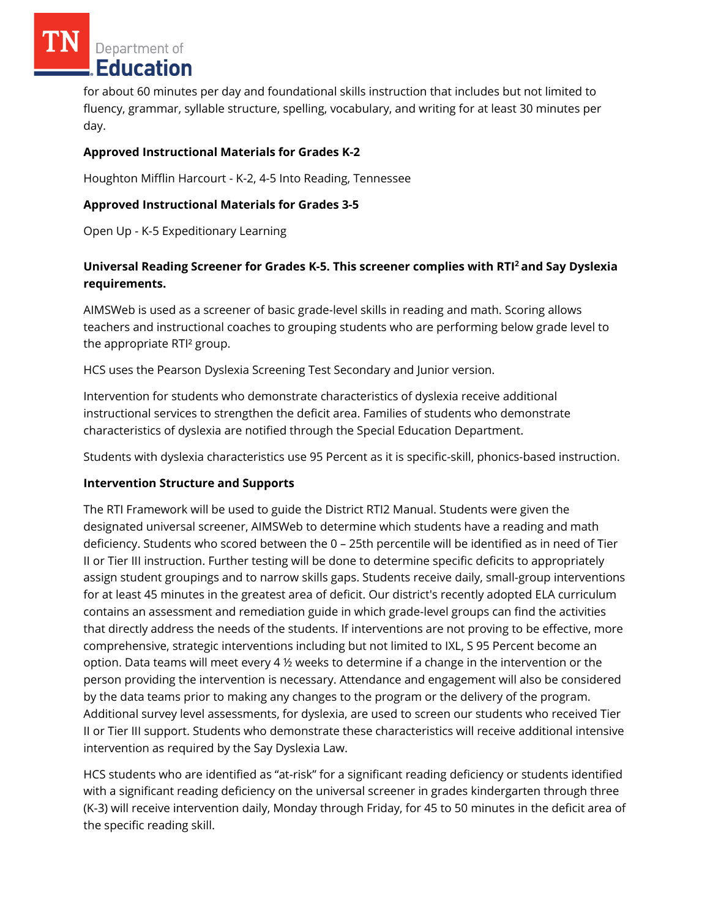Department of **Education** 

for about 60 minutes per day and foundational skills instruction that includes but not limited to fluency, grammar, syllable structure, spelling, vocabulary, and writing for at least 30 minutes per day.

### **Approved Instructional Materials for Grades K-2**

Houghton Mifflin Harcourt - K-2, 4-5 Into Reading, Tennessee

## **Approved Instructional Materials for Grades 3-5**

Open Up - K-5 Expeditionary Learning

# **Universal Reading Screener for Grades K-5. This screener complies with RTI<sup>2</sup>and Say Dyslexia requirements.**

AIMSWeb is used as a screener of basic grade-level skills in reading and math. Scoring allows teachers and instructional coaches to grouping students who are performing below grade level to the appropriate RTI² group.

HCS uses the Pearson Dyslexia Screening Test Secondary and Junior version.

Intervention for students who demonstrate characteristics of dyslexia receive additional instructional services to strengthen the deficit area. Families of students who demonstrate characteristics of dyslexia are notified through the Special Education Department.

Students with dyslexia characteristics use 95 Percent as it is specific-skill, phonics-based instruction.

#### **Intervention Structure and Supports**

The RTI Framework will be used to guide the District RTI2 Manual. Students were given the designated universal screener, AIMSWeb to determine which students have a reading and math deficiency. Students who scored between the 0 – 25th percentile will be identified as in need of Tier II or Tier III instruction. Further testing will be done to determine specific deficits to appropriately assign student groupings and to narrow skills gaps. Students receive daily, small-group interventions for at least 45 minutes in the greatest area of deficit. Our district's recently adopted ELA curriculum contains an assessment and remediation guide in which grade-level groups can find the activities that directly address the needs of the students. If interventions are not proving to be effective, more comprehensive, strategic interventions including but not limited to IXL, S 95 Percent become an option. Data teams will meet every 4  $\frac{1}{2}$  weeks to determine if a change in the intervention or the person providing the intervention is necessary. Attendance and engagement will also be considered by the data teams prior to making any changes to the program or the delivery of the program. Additional survey level assessments, for dyslexia, are used to screen our students who received Tier II or Tier III support. Students who demonstrate these characteristics will receive additional intensive intervention as required by the Say Dyslexia Law.

HCS students who are identified as "at-risk" for a significant reading deficiency or students identified with a significant reading deficiency on the universal screener in grades kindergarten through three (K-3) will receive intervention daily, Monday through Friday, for 45 to 50 minutes in the deficit area of the specific reading skill.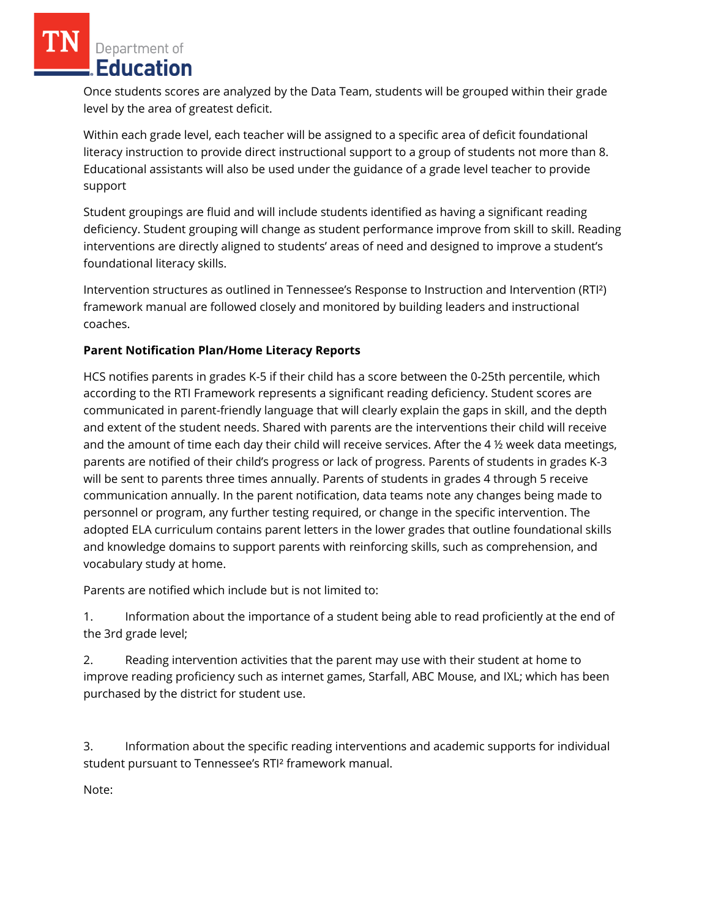Department of Education

Once students scores are analyzed by the Data Team, students will be grouped within their grade level by the area of greatest deficit.

Within each grade level, each teacher will be assigned to a specific area of deficit foundational literacy instruction to provide direct instructional support to a group of students not more than 8. Educational assistants will also be used under the guidance of a grade level teacher to provide support

Student groupings are fluid and will include students identified as having a significant reading deficiency. Student grouping will change as student performance improve from skill to skill. Reading interventions are directly aligned to students' areas of need and designed to improve a student's foundational literacy skills.

Intervention structures as outlined in Tennessee's Response to Instruction and Intervention (RTI²) framework manual are followed closely and monitored by building leaders and instructional coaches.

## **Parent Notification Plan/Home Literacy Reports**

HCS notifies parents in grades K-5 if their child has a score between the 0-25th percentile, which according to the RTI Framework represents a significant reading deficiency. Student scores are communicated in parent-friendly language that will clearly explain the gaps in skill, and the depth and extent of the student needs. Shared with parents are the interventions their child will receive and the amount of time each day their child will receive services. After the 4 ½ week data meetings, parents are notified of their child's progress or lack of progress. Parents of students in grades K-3 will be sent to parents three times annually. Parents of students in grades 4 through 5 receive communication annually. In the parent notification, data teams note any changes being made to personnel or program, any further testing required, or change in the specific intervention. The adopted ELA curriculum contains parent letters in the lower grades that outline foundational skills and knowledge domains to support parents with reinforcing skills, such as comprehension, and vocabulary study at home.

Parents are notified which include but is not limited to:

1. Information about the importance of a student being able to read proficiently at the end of the 3rd grade level;

2. Reading intervention activities that the parent may use with their student at home to improve reading proficiency such as internet games, Starfall, ABC Mouse, and IXL; which has been purchased by the district for student use.

3. Information about the specific reading interventions and academic supports for individual student pursuant to Tennessee's RTI² framework manual.

Note: